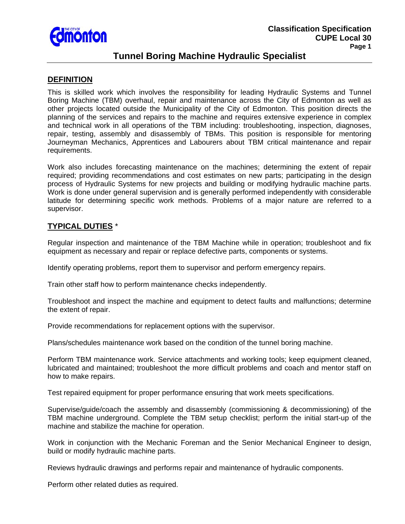

# **Tunnel Boring Machine Hydraulic Specialist**

### **DEFINITION**

This is skilled work which involves the responsibility for leading Hydraulic Systems and Tunnel Boring Machine (TBM) overhaul, repair and maintenance across the City of Edmonton as well as other projects located outside the Municipality of the City of Edmonton. This position directs the planning of the services and repairs to the machine and requires extensive experience in complex and technical work in all operations of the TBM including: troubleshooting, inspection, diagnoses, repair, testing, assembly and disassembly of TBMs. This position is responsible for mentoring Journeyman Mechanics, Apprentices and Labourers about TBM critical maintenance and repair requirements.

Work also includes forecasting maintenance on the machines; determining the extent of repair required; providing recommendations and cost estimates on new parts; participating in the design process of Hydraulic Systems for new projects and building or modifying hydraulic machine parts. Work is done under general supervision and is generally performed independently with considerable latitude for determining specific work methods. Problems of a major nature are referred to a supervisor.

## **TYPICAL DUTIES** \*

Regular inspection and maintenance of the TBM Machine while in operation; troubleshoot and fix equipment as necessary and repair or replace defective parts, components or systems.

Identify operating problems, report them to supervisor and perform emergency repairs.

Train other staff how to perform maintenance checks independently.

Troubleshoot and inspect the machine and equipment to detect faults and malfunctions; determine the extent of repair.

Provide recommendations for replacement options with the supervisor.

Plans/schedules maintenance work based on the condition of the tunnel boring machine.

Perform TBM maintenance work. Service attachments and working tools; keep equipment cleaned, lubricated and maintained; troubleshoot the more difficult problems and coach and mentor staff on how to make repairs.

Test repaired equipment for proper performance ensuring that work meets specifications.

Supervise/guide/coach the assembly and disassembly (commissioning & decommissioning) of the TBM machine underground. Complete the TBM setup checklist; perform the initial start-up of the machine and stabilize the machine for operation.

Work in conjunction with the Mechanic Foreman and the Senior Mechanical Engineer to design, build or modify hydraulic machine parts.

Reviews hydraulic drawings and performs repair and maintenance of hydraulic components.

Perform other related duties as required.